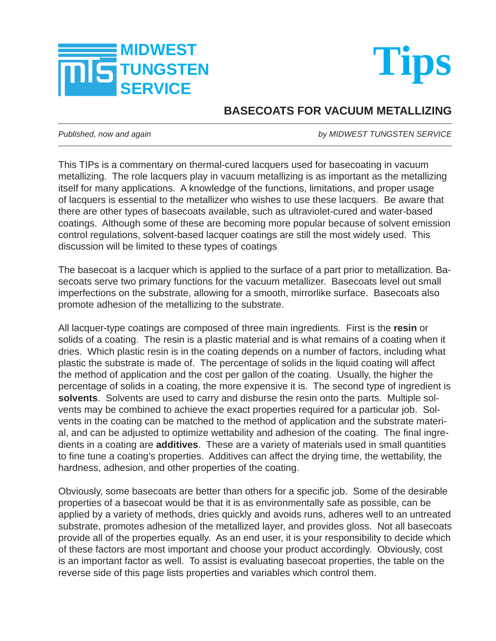



## **BASECOATS FOR VACUUM METALLIZING**

*Published, now and again by MIDWEST TUNGSTEN SERVICE*

This TIPs is a commentary on thermal-cured lacquers used for basecoating in vacuum metallizing. The role lacquers play in vacuum metallizing is as important as the metallizing itself for many applications. A knowledge of the functions, limitations, and proper usage of lacquers is essential to the metallizer who wishes to use these lacquers. Be aware that there are other types of basecoats available, such as ultraviolet-cured and water-based coatings. Although some of these are becoming more popular because of solvent emission control regulations, solvent-based lacquer coatings are still the most widely used. This discussion will be limited to these types of coatings

The basecoat is a lacquer which is applied to the surface of a part prior to metallization. Basecoats serve two primary functions for the vacuum metallizer. Basecoats level out small imperfections on the substrate, allowing for a smooth, mirrorlike surface. Basecoats also promote adhesion of the metallizing to the substrate.

All lacquer-type coatings are composed of three main ingredients. First is the **resin** or solids of a coating. The resin is a plastic material and is what remains of a coating when it dries. Which plastic resin is in the coating depends on a number of factors, including what plastic the substrate is made of. The percentage of solids in the liquid coating will affect the method of application and the cost per gallon of the coating. Usually, the higher the percentage of solids in a coating, the more expensive it is. The second type of ingredient is **solvents**. Solvents are used to carry and disburse the resin onto the parts. Multiple solvents may be combined to achieve the exact properties required for a particular job. Solvents in the coating can be matched to the method of application and the substrate material, and can be adjusted to optimize wettability and adhesion of the coating. The final ingredients in a coating are **additives**. These are a variety of materials used in small quantities to fine tune a coating's properties. Additives can affect the drying time, the wettability, the hardness, adhesion, and other properties of the coating.

Obviously, some basecoats are better than others for a specific job. Some of the desirable properties of a basecoat would be that it is as environmentally safe as possible, can be applied by a variety of methods, dries quickly and avoids runs, adheres well to an untreated substrate, promotes adhesion of the metallized layer, and provides gloss. Not all basecoats provide all of the properties equally. As an end user, it is your responsibility to decide which of these factors are most important and choose your product accordingly. Obviously, cost is an important factor as well. To assist is evaluating basecoat properties, the table on the reverse side of this page lists properties and variables which control them.